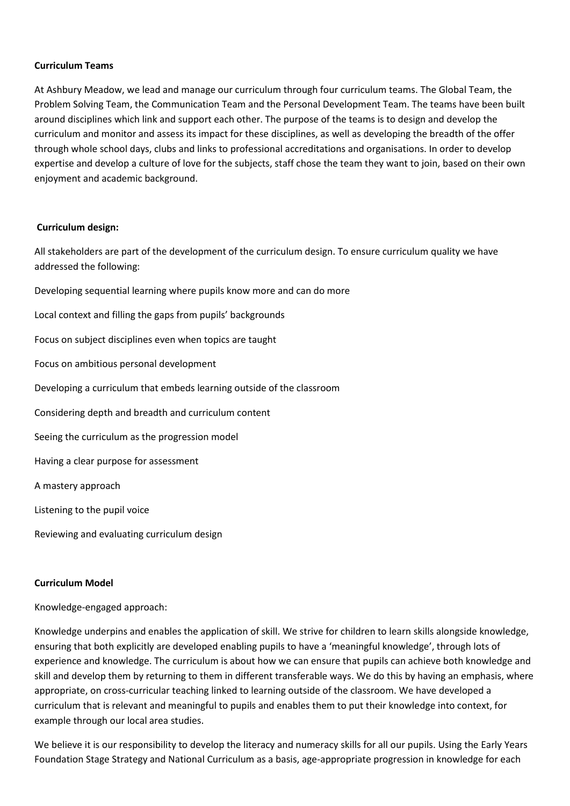## **Curriculum Teams**

At Ashbury Meadow, we lead and manage our curriculum through four curriculum teams. The Global Team, the Problem Solving Team, the Communication Team and the Personal Development Team. The teams have been built around disciplines which link and support each other. The purpose of the teams is to design and develop the curriculum and monitor and assess its impact for these disciplines, as well as developing the breadth of the offer through whole school days, clubs and links to professional accreditations and organisations. In order to develop expertise and develop a culture of love for the subjects, staff chose the team they want to join, based on their own enjoyment and academic background.

## **Curriculum design:**

All stakeholders are part of the development of the curriculum design. To ensure curriculum quality we have addressed the following:

Developing sequential learning where pupils know more and can do more

Local context and filling the gaps from pupils' backgrounds

Focus on subject disciplines even when topics are taught

Focus on ambitious personal development

Developing a curriculum that embeds learning outside of the classroom

Considering depth and breadth and curriculum content

Seeing the curriculum as the progression model

Having a clear purpose for assessment

A mastery approach

Listening to the pupil voice

Reviewing and evaluating curriculum design

## **Curriculum Model**

Knowledge-engaged approach:

Knowledge underpins and enables the application of skill. We strive for children to learn skills alongside knowledge, ensuring that both explicitly are developed enabling pupils to have a 'meaningful knowledge', through lots of experience and knowledge. The curriculum is about how we can ensure that pupils can achieve both knowledge and skill and develop them by returning to them in different transferable ways. We do this by having an emphasis, where appropriate, on cross-curricular teaching linked to learning outside of the classroom. We have developed a curriculum that is relevant and meaningful to pupils and enables them to put their knowledge into context, for example through our local area studies.

We believe it is our responsibility to develop the literacy and numeracy skills for all our pupils. Using the Early Years Foundation Stage Strategy and National Curriculum as a basis, age-appropriate progression in knowledge for each